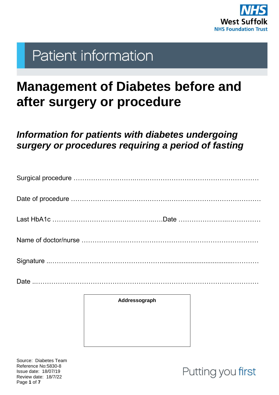

# **Patient information**

# **Management of Diabetes before and after surgery or procedure**

## *Information for patients with diabetes undergoing surgery or procedures requiring a period of fasting*

|  | Addressograph |  |  |  |  |  |
|--|---------------|--|--|--|--|--|
|  |               |  |  |  |  |  |

Source: Diabetes Team Reference No:5830-8 Issue date: 18/07/19 Review date: 18/7/22 Page **1** of **7**

Putting you first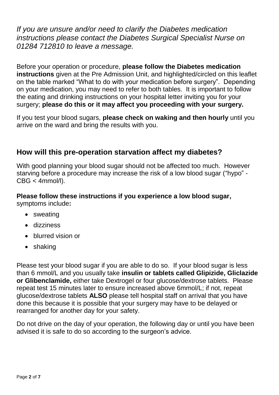*If you are unsure and/or need to clarify the Diabetes medication instructions please contact the Diabetes Surgical Specialist Nurse on 01284 712810 to leave a message.*

Before your operation or procedure, **please follow the Diabetes medication instructions** given at the Pre Admission Unit, and highlighted/circled on this leaflet on the table marked "What to do with your medication before surgery". Depending on your medication, you may need to refer to both tables. It is important to follow the eating and drinking instructions on your hospital letter inviting you for your surgery; **please do this or it may affect you proceeding with your surgery.** 

If you test your blood sugars, **please check on waking and then hourly** until you arrive on the ward and bring the results with you.

#### **How will this pre-operation starvation affect my diabetes?**

With good planning your blood sugar should not be affected too much. However starving before a procedure may increase the risk of a low blood sugar ("hypo" - CBG < 4mmol/l).

#### **Please follow these instructions if you experience a low blood sugar,** symptoms include**:**

- sweating
- dizziness
- blurred vision or
- shaking

Please test your blood sugar if you are able to do so. If your blood sugar is less than 6 mmol/L and you usually take **insulin or tablets called Glipizide, Gliclazide or Glibenclamide,** either take Dextrogel or four glucose/dextrose tablets. Please repeat test 15 minutes later to ensure increased above 6mmol/L; if not, repeat glucose/dextrose tablets **ALSO** please tell hospital staff on arrival that you have done this because it is possible that your surgery may have to be delayed or rearranged for another day for your safety.

Do not drive on the day of your operation, the following day or until you have been advised it is safe to do so according to the surgeon's advice.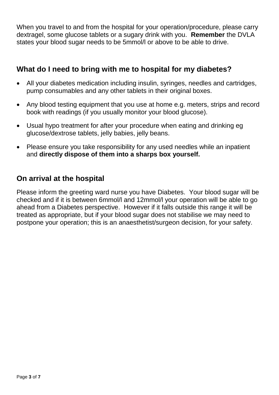When you travel to and from the hospital for your operation/procedure, please carry dextragel, some glucose tablets or a sugary drink with you. **Remember** the DVLA states your blood sugar needs to be 5mmol/l or above to be able to drive.

#### **What do I need to bring with me to hospital for my diabetes?**

- All your diabetes medication including insulin, syringes, needles and cartridges, pump consumables and any other tablets in their original boxes.
- Any blood testing equipment that you use at home e.g. meters, strips and record book with readings (if you usually monitor your blood glucose).
- Usual hypo treatment for after your procedure when eating and drinking eg glucose/dextrose tablets, jelly babies, jelly beans.
- Please ensure you take responsibility for any used needles while an inpatient and **directly dispose of them into a sharps box yourself.**

#### **On arrival at the hospital**

Please inform the greeting ward nurse you have Diabetes. Your blood sugar will be checked and if it is between 6mmol/l and 12mmol/l your operation will be able to go ahead from a Diabetes perspective. However if it falls outside this range it will be treated as appropriate, but if your blood sugar does not stabilise we may need to postpone your operation; this is an anaesthetist/surgeon decision, for your safety.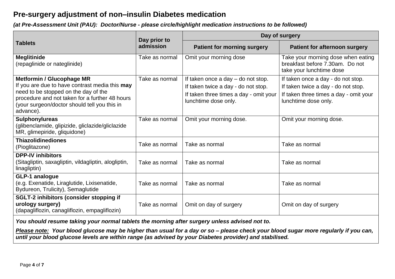#### **Pre-surgery adjustment of non–insulin Diabetes medication**

*(at Pre-Assessment Unit (PAU): Doctor/Nurse - please circle/highlight medication instructions to be followed)*

|                                                                                                                                                     | Day prior to<br>admission | Day of surgery                                                 |                                                                                                   |  |
|-----------------------------------------------------------------------------------------------------------------------------------------------------|---------------------------|----------------------------------------------------------------|---------------------------------------------------------------------------------------------------|--|
| <b>Tablets</b>                                                                                                                                      |                           | <b>Patient for morning surgery</b>                             | <b>Patient for afternoon surgery</b>                                                              |  |
| <b>Meglitinide</b><br>(repaglinide or nateglinide)                                                                                                  | Take as normal            | Omit your morning dose                                         | Take your morning dose when eating<br>breakfast before 7.30am. Do not<br>take your lunchtime dose |  |
| <b>Metformin / Glucophage MR</b>                                                                                                                    | Take as normal            | If taken once a day - do not stop.                             | If taken once a day - do not stop.                                                                |  |
| If you are due to have contrast media this may                                                                                                      |                           | If taken twice a day - do not stop.                            | If taken twice a day - do not stop.                                                               |  |
| need to be stopped on the day of the<br>procedure and not taken for a further 48 hours<br>(your surgeon/doctor should tell you this in<br>advance). |                           | If taken three times a day - omit your<br>lunchtime dose only. | If taken three times a day - omit your<br>lunchtime dose only.                                    |  |
| <b>Sulphonylureas</b><br>(glibenclamide, glipizide, gliclazide/gliclazide<br>MR, glimepiride, gliquidone)                                           | Take as normal            | Omit your morning dose.                                        | Omit your morning dose.                                                                           |  |
| <b>Thiazolidinediones</b><br>(Pioglitazone)                                                                                                         | Take as normal            | Take as normal                                                 | Take as normal                                                                                    |  |
| <b>DPP-IV inhibitors</b><br>(Sitagliptin, saxagliptin, vildagliptin, alogliptin,<br>linagliptin)                                                    | Take as normal            | Take as normal                                                 | Take as normal                                                                                    |  |
| <b>GLP-1 analogue</b><br>(e.g. Exenatide, Liraglutide, Lixisenatide,<br>Bydureon, Trulicity), Semaglutide                                           | Take as normal            | Take as normal                                                 | Take as normal                                                                                    |  |
| <b>SGLT-2 inhibitors (consider stopping if</b><br>urology surgery)<br>(dapagliflozin, canagliflozin, empagliflozin)                                 | Take as normal            | Omit on day of surgery                                         | Omit on day of surgery                                                                            |  |

*You should resume taking your normal tablets the morning after surgery unless advised not to.*

*Please note: Your blood glucose may be higher than usual for a day or so – please check your blood sugar more regularly if you can, until your blood glucose levels are within range (as advised by your Diabetes provider) and stabilised.*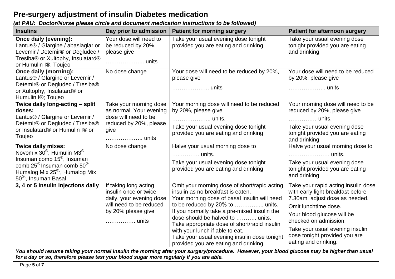### **Pre-surgery adjustment of insulin Diabetes medication**

#### *(at PAU: Doctor/Nurse please circle and document medication instructions to be followed)*

| <b>Insulins</b>                                                                                                                                                                                                                                      | Day prior to admission                                                                                                               | <b>Patient for morning surgery</b>                                                                                                                                                                                                                                                                                                                                                                | <b>Patient for afternoon surgery</b>                                                                                                                                                                                                                                                  |
|------------------------------------------------------------------------------------------------------------------------------------------------------------------------------------------------------------------------------------------------------|--------------------------------------------------------------------------------------------------------------------------------------|---------------------------------------------------------------------------------------------------------------------------------------------------------------------------------------------------------------------------------------------------------------------------------------------------------------------------------------------------------------------------------------------------|---------------------------------------------------------------------------------------------------------------------------------------------------------------------------------------------------------------------------------------------------------------------------------------|
| Once daily (evening):<br>Lantus® / Glargine / abaslaglar or<br>Levemir / Detemir® or Degludec /<br>Tresiba® or Xultophy, Insulatard®<br>or Humulin I <sup>®</sup> , Toujeo                                                                           | Your dose will need to<br>be reduced by 20%,<br>please give<br>units                                                                 | Take your usual evening dose tonight<br>provided you are eating and drinking                                                                                                                                                                                                                                                                                                                      | Take your usual evening dose<br>tonight provided you are eating<br>and drinking                                                                                                                                                                                                       |
| Once daily (morning):<br>Lantus® / Glargine or Levemir /<br>Detemir® or Degludec / Tresiba®<br>or Xultophy, Insulatard® or<br>Humulin I <sup>®</sup> ; Toujeo                                                                                        | No dose change                                                                                                                       | Your dose will need to be reduced by 20%,<br>please give<br>units                                                                                                                                                                                                                                                                                                                                 | Your dose will need to be reduced<br>by 20%, please give<br>units                                                                                                                                                                                                                     |
| Twice daily long-acting - split<br>doses:<br>Lantus® / Glargine or Levemir /<br>Detemir® or Degludec / Tresiba®<br>or Insulatard® or Humulin I® or<br>Toujeo                                                                                         | Take your morning dose<br>as normal. Your evening<br>dose will need to be<br>reduced by 20%, please<br>give                          | Your morning dose will need to be reduced<br>by 20%, please give<br>units.<br>Take your usual evening dose tonight<br>provided you are eating and drinking                                                                                                                                                                                                                                        | Your morning dose will need to be<br>reduced by 20%, please give<br>units.<br>Take your usual evening dose<br>tonight provided you are eating<br>and drinking                                                                                                                         |
| <b>Twice daily mixes:</b><br>Novomix $30^{\circ}$ , Humulin M3 <sup>®</sup><br>Insuman comb 15 <sup>®</sup> , Insuman<br>comb $25^{\circ}$ Insuman comb $50^{\circ}$<br>Humalog Mix 25 <sup>®</sup> , Humalog Mix<br>50 <sup>®</sup> , Insuman Basal | No dose change                                                                                                                       | Halve your usual morning dose to<br>units.<br>Take your usual evening dose tonight<br>provided you are eating and drinking                                                                                                                                                                                                                                                                        | Halve your usual morning dose to<br>units.<br>Take your usual evening dose<br>tonight provided you are eating<br>and drinking                                                                                                                                                         |
| 3, 4 or 5 insulin injections daily                                                                                                                                                                                                                   | If taking long acting<br>insulin once or twice<br>daily, your evening dose<br>will need to be reduced<br>by 20% please give<br>units | Omit your morning dose of short/rapid acting<br>insulin as no breakfast is eaten.<br>Your morning dose of basal insulin will need<br>If you normally take a pre-mixed insulin the<br>dose should be halved to  units.<br>Take appropriate dose of short/rapid insulin<br>with your lunch if able to eat.<br>Take your usual evening insulin dose tonight<br>provided you are eating and drinking. | Take your rapid acting insulin dose<br>with early light breakfast before<br>7.30am, adjust dose as needed.<br>Omit lunchtime dose.<br>Your blood glucose will be<br>checked on admission.<br>Take your usual evening insulin<br>dose tonight provided you are<br>eating and drinking. |

*You should resume taking your normal insulin the morning after your surgery/procedure. However, your blood glucose may be higher than usual for a day or so, therefore please test your blood sugar more regularly if you are able.*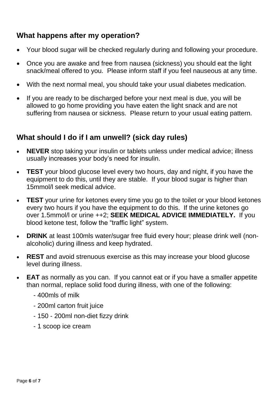### **What happens after my operation?**

- Your blood sugar will be checked regularly during and following your procedure.
- Once you are awake and free from nausea (sickness) you should eat the light snack/meal offered to you. Please inform staff if you feel nauseous at any time.
- With the next normal meal, you should take your usual diabetes medication.
- If you are ready to be discharged before your next meal is due, you will be allowed to go home providing you have eaten the light snack and are not suffering from nausea or sickness. Please return to your usual eating pattern.

#### **What should I do if I am unwell? (sick day rules)**

- **NEVER** stop taking your insulin or tablets unless under medical advice; illness usually increases your body's need for insulin.
- **TEST** your blood glucose level every two hours, day and night, if you have the equipment to do this, until they are stable. If your blood sugar is higher than 15mmol/l seek medical advice.
- **TEST** your urine for ketones every time you go to the toilet or your blood ketones every two hours if you have the equipment to do this. If the urine ketones go over 1.5mmol/l or urine ++2; **SEEK MEDICAL ADVICE IMMEDIATELY.** If you blood ketone test, follow the "traffic light" system.
- **DRINK** at least 100mls water/sugar free fluid every hour; please drink well (nonalcoholic) during illness and keep hydrated.
- **REST** and avoid strenuous exercise as this may increase your blood glucose level during illness.
- **EAT** as normally as you can. If you cannot eat or if you have a smaller appetite than normal, replace solid food during illness, with one of the following:
	- 400mls of milk
	- 200ml carton fruit juice
	- 150 200ml non-diet fizzy drink
	- 1 scoop ice cream